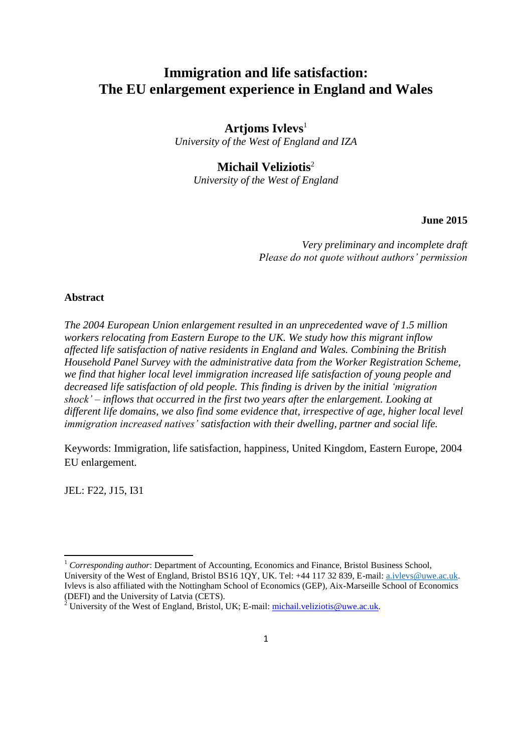# **Immigration and life satisfaction: The EU enlargement experience in England and Wales**

## **Artjoms Ivlevs**<sup>1</sup>

*University of the West of England and IZA*

## **Michail Veliziotis**<sup>2</sup>

*University of the West of England* 

**June 2015**

*Very preliminary and incomplete draft Please do not quote without authors' permission*

## **Abstract**

*The 2004 European Union enlargement resulted in an unprecedented wave of 1.5 million workers relocating from Eastern Europe to the UK. We study how this migrant inflow affected life satisfaction of native residents in England and Wales. Combining the British Household Panel Survey with the administrative data from the Worker Registration Scheme, we find that higher local level immigration increased life satisfaction of young people and decreased life satisfaction of old people. This finding is driven by the initial 'migration shock' – inflows that occurred in the first two years after the enlargement. Looking at different life domains, we also find some evidence that, irrespective of age, higher local level immigration increased natives' satisfaction with their dwelling, partner and social life.*

Keywords: Immigration, life satisfaction, happiness, United Kingdom, Eastern Europe, 2004 EU enlargement.

JEL: F22, J15, I31

**.** 

<sup>1</sup> *Corresponding author*: Department of Accounting, Economics and Finance, Bristol Business School, University of the West of England, Bristol BS16 1QY, UK. Tel: +44 117 32 839, E-mail: [a.ivlevs@uwe.ac.uk.](mailto:a.ivlevs@uwe.ac.uk) Ivlevs is also affiliated with the Nottingham School of Economics (GEP), Aix-Marseille School of Economics (DEFI) and the University of Latvia (CETS).

<sup>&</sup>lt;sup>2</sup> University of the West of England, Bristol, UK; E-mail: *michail.veliziotis@uwe.ac.uk.*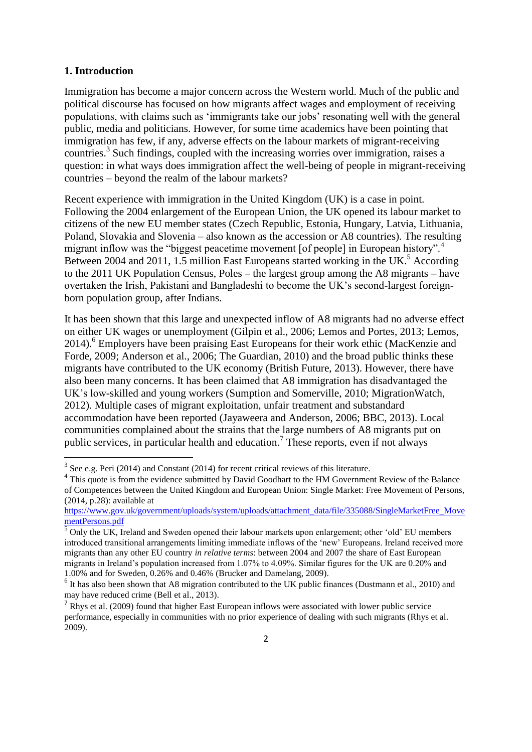## **1. Introduction**

**.** 

Immigration has become a major concern across the Western world. Much of the public and political discourse has focused on how migrants affect wages and employment of receiving populations, with claims such as 'immigrants take our jobs' resonating well with the general public, media and politicians. However, for some time academics have been pointing that immigration has few, if any, adverse effects on the labour markets of migrant-receiving countries.<sup>3</sup> Such findings, coupled with the increasing worries over immigration, raises a question: in what ways does immigration affect the well-being of people in migrant-receiving countries – beyond the realm of the labour markets?

Recent experience with immigration in the United Kingdom (UK) is a case in point. Following the 2004 enlargement of the European Union, the UK opened its labour market to citizens of the new EU member states (Czech Republic, Estonia, Hungary, Latvia, Lithuania, Poland, Slovakia and Slovenia – also known as the accession or A8 countries). The resulting migrant inflow was the "biggest peacetime movement [of people] in European history".<sup>4</sup> Between 2004 and 2011, 1.5 million East Europeans started working in the UK.<sup>5</sup> According to the 2011 UK Population Census, Poles – the largest group among the A8 migrants – have overtaken the Irish, Pakistani and Bangladeshi to become the UK's second-largest foreignborn population group, after Indians.

It has been shown that this large and unexpected inflow of A8 migrants had no adverse effect on either UK wages or unemployment (Gilpin et al., 2006; Lemos and Portes, 2013; Lemos, 2014).<sup>6</sup> Employers have been praising East Europeans for their work ethic (MacKenzie and Forde, 2009; Anderson et al., 2006; The Guardian, 2010) and the broad public thinks these migrants have contributed to the UK economy (British Future, 2013). However, there have also been many concerns. It has been claimed that A8 immigration has disadvantaged the UK's low-skilled and young workers (Sumption and Somerville, 2010; MigrationWatch, 2012). Multiple cases of migrant exploitation, unfair treatment and substandard accommodation have been reported (Jayaweera and Anderson, 2006; BBC, 2013). Local communities complained about the strains that the large numbers of A8 migrants put on public services, in particular health and education.<sup>7</sup> These reports, even if not always

 $3$  See e.g. Peri (2014) and Constant (2014) for recent critical reviews of this literature.

<sup>&</sup>lt;sup>4</sup> This quote is from the evidence submitted by David Goodhart to the HM Government Review of the Balance of Competences between the United Kingdom and European Union: Single Market: Free Movement of Persons, (2014, p.28): available at

[https://www.gov.uk/government/uploads/system/uploads/attachment\\_data/file/335088/SingleMarketFree\\_Move](https://www.gov.uk/government/uploads/system/uploads/attachment_data/file/335088/SingleMarketFree_MovementPersons.pdf) [mentPersons.pdf](https://www.gov.uk/government/uploads/system/uploads/attachment_data/file/335088/SingleMarketFree_MovementPersons.pdf)

 $\overline{5}$  Only the UK, Ireland and Sweden opened their labour markets upon enlargement; other 'old' EU members introduced transitional arrangements limiting immediate inflows of the 'new' Europeans. Ireland received more migrants than any other EU country *in relative terms*: between 2004 and 2007 the share of East European migrants in Ireland's population increased from 1.07% to 4.09%. Similar figures for the UK are 0.20% and 1.00% and for Sweden, 0.26% and 0.46% (Brucker and Damelang, 2009).

<sup>&</sup>lt;sup>6</sup> It has also been shown that A8 migration contributed to the UK public finances (Dustmann et al., 2010) and may have reduced crime (Bell et al., 2013).

 $<sup>7</sup>$  Rhys et al. (2009) found that higher East European inflows were associated with lower public service</sup> performance, especially in communities with no prior experience of dealing with such migrants (Rhys et al. 2009).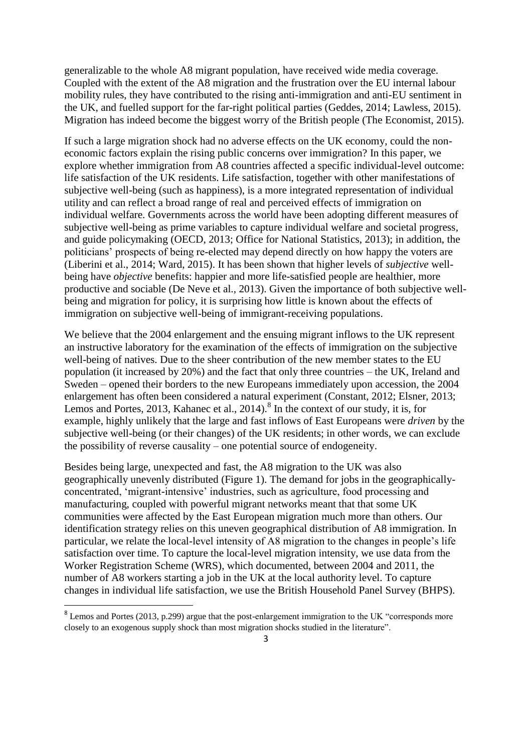generalizable to the whole A8 migrant population, have received wide media coverage. Coupled with the extent of the A8 migration and the frustration over the EU internal labour mobility rules, they have contributed to the rising anti-immigration and anti-EU sentiment in the UK, and fuelled support for the far-right political parties (Geddes, 2014; Lawless, 2015). Migration has indeed become the biggest worry of the British people (The Economist, 2015).

If such a large migration shock had no adverse effects on the UK economy, could the noneconomic factors explain the rising public concerns over immigration? In this paper, we explore whether immigration from A8 countries affected a specific individual-level outcome: life satisfaction of the UK residents. Life satisfaction, together with other manifestations of subjective well-being (such as happiness), is a more integrated representation of individual utility and can reflect a broad range of real and perceived effects of immigration on individual welfare. Governments across the world have been adopting different measures of subjective well-being as prime variables to capture individual welfare and societal progress, and guide policymaking (OECD, 2013; Office for National Statistics, 2013); in addition, the politicians' prospects of being re-elected may depend directly on how happy the voters are (Liberini et al., 2014; Ward, 2015). It has been shown that higher levels of *subjective* wellbeing have *objective* benefits: happier and more life-satisfied people are healthier, more productive and sociable (De Neve et al., 2013). Given the importance of both subjective wellbeing and migration for policy, it is surprising how little is known about the effects of immigration on subjective well-being of immigrant-receiving populations.

We believe that the 2004 enlargement and the ensuing migrant inflows to the UK represent an instructive laboratory for the examination of the effects of immigration on the subjective well-being of natives. Due to the sheer contribution of the new member states to the EU population (it increased by 20%) and the fact that only three countries – the UK, Ireland and Sweden – opened their borders to the new Europeans immediately upon accession, the 2004 enlargement has often been considered a natural experiment (Constant, 2012; Elsner, 2013; Lemos and Portes, 2013, Kahanec et al., 2014).<sup>8</sup> In the context of our study, it is, for example, highly unlikely that the large and fast inflows of East Europeans were *driven* by the subjective well-being (or their changes) of the UK residents; in other words, we can exclude the possibility of reverse causality – one potential source of endogeneity.

Besides being large, unexpected and fast, the A8 migration to the UK was also geographically unevenly distributed (Figure 1). The demand for jobs in the geographicallyconcentrated, 'migrant-intensive' industries, such as agriculture, food processing and manufacturing, coupled with powerful migrant networks meant that that some UK communities were affected by the East European migration much more than others. Our identification strategy relies on this uneven geographical distribution of A8 immigration. In particular, we relate the local-level intensity of A8 migration to the changes in people's life satisfaction over time. To capture the local-level migration intensity, we use data from the Worker Registration Scheme (WRS), which documented, between 2004 and 2011, the number of A8 workers starting a job in the UK at the local authority level. To capture changes in individual life satisfaction, we use the British Household Panel Survey (BHPS).

1

 $8$  Lemos and Portes (2013, p.299) argue that the post-enlargement immigration to the UK "corresponds more closely to an exogenous supply shock than most migration shocks studied in the literature".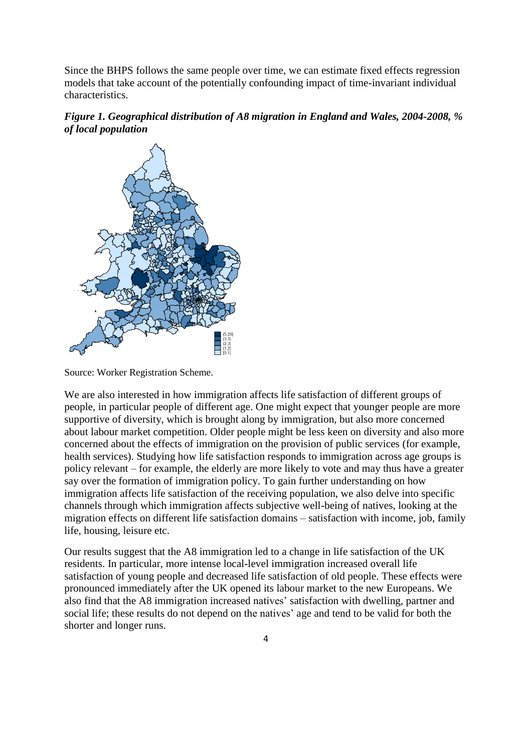Since the BHPS follows the same people over time, we can estimate fixed effects regression models that take account of the potentially confounding impact of time-invariant individual characteristics.





Source: Worker Registration Scheme.

We are also interested in how immigration affects life satisfaction of different groups of people, in particular people of different age. One might expect that younger people are more supportive of diversity, which is brought along by immigration, but also more concerned about labour market competition. Older people might be less keen on diversity and also more concerned about the effects of immigration on the provision of public services (for example, health services). Studying how life satisfaction responds to immigration across age groups is policy relevant – for example, the elderly are more likely to vote and may thus have a greater say over the formation of immigration policy. To gain further understanding on how immigration affects life satisfaction of the receiving population, we also delve into specific channels through which immigration affects subjective well-being of natives, looking at the migration effects on different life satisfaction domains – satisfaction with income, job, family life, housing, leisure etc.

Our results suggest that the A8 immigration led to a change in life satisfaction of the UK residents. In particular, more intense local-level immigration increased overall life satisfaction of young people and decreased life satisfaction of old people. These effects were pronounced immediately after the UK opened its labour market to the new Europeans. We also find that the A8 immigration increased natives' satisfaction with dwelling, partner and social life; these results do not depend on the natives' age and tend to be valid for both the shorter and longer runs.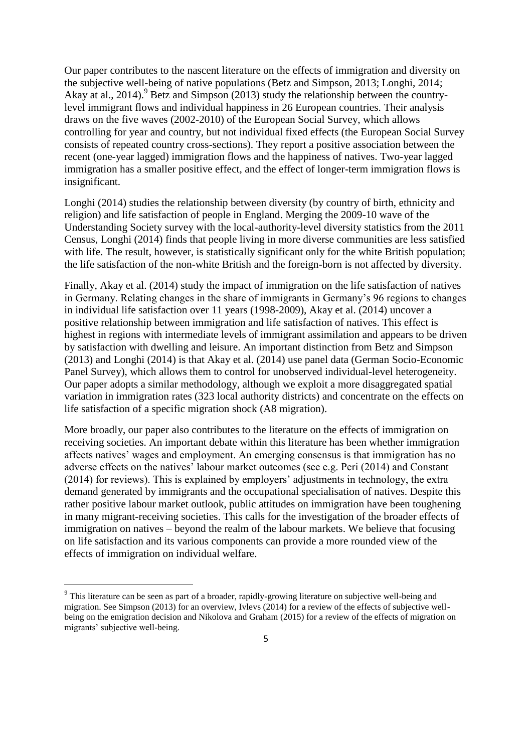Our paper contributes to the nascent literature on the effects of immigration and diversity on the subjective well-being of native populations (Betz and Simpson, 2013; Longhi, 2014; Akay at al., 2014).<sup>9</sup> Betz and Simpson (2013) study the relationship between the countrylevel immigrant flows and individual happiness in 26 European countries. Their analysis draws on the five waves (2002-2010) of the European Social Survey, which allows controlling for year and country, but not individual fixed effects (the European Social Survey consists of repeated country cross-sections). They report a positive association between the recent (one-year lagged) immigration flows and the happiness of natives. Two-year lagged immigration has a smaller positive effect, and the effect of longer-term immigration flows is insignificant.

Longhi (2014) studies the relationship between diversity (by country of birth, ethnicity and religion) and life satisfaction of people in England. Merging the 2009-10 wave of the Understanding Society survey with the local-authority-level diversity statistics from the 2011 Census, Longhi (2014) finds that people living in more diverse communities are less satisfied with life. The result, however, is statistically significant only for the white British population; the life satisfaction of the non-white British and the foreign-born is not affected by diversity.

Finally, Akay et al. (2014) study the impact of immigration on the life satisfaction of natives in Germany. Relating changes in the share of immigrants in Germany's 96 regions to changes in individual life satisfaction over 11 years (1998-2009), Akay et al. (2014) uncover a positive relationship between immigration and life satisfaction of natives. This effect is highest in regions with intermediate levels of immigrant assimilation and appears to be driven by satisfaction with dwelling and leisure. An important distinction from Betz and Simpson (2013) and Longhi (2014) is that Akay et al. (2014) use panel data (German Socio-Economic Panel Survey), which allows them to control for unobserved individual-level heterogeneity. Our paper adopts a similar methodology, although we exploit a more disaggregated spatial variation in immigration rates (323 local authority districts) and concentrate on the effects on life satisfaction of a specific migration shock (A8 migration).

More broadly, our paper also contributes to the literature on the effects of immigration on receiving societies. An important debate within this literature has been whether immigration affects natives' wages and employment. An emerging consensus is that immigration has no adverse effects on the natives' labour market outcomes (see e.g. Peri (2014) and Constant (2014) for reviews). This is explained by employers' adjustments in technology, the extra demand generated by immigrants and the occupational specialisation of natives. Despite this rather positive labour market outlook, public attitudes on immigration have been toughening in many migrant-receiving societies. This calls for the investigation of the broader effects of immigration on natives – beyond the realm of the labour markets. We believe that focusing on life satisfaction and its various components can provide a more rounded view of the effects of immigration on individual welfare.

**.** 

<sup>&</sup>lt;sup>9</sup> This literature can be seen as part of a broader, rapidly-growing literature on subjective well-being and migration. See Simpson (2013) for an overview, Ivlevs (2014) for a review of the effects of subjective wellbeing on the emigration decision and Nikolova and Graham (2015) for a review of the effects of migration on migrants' subjective well-being.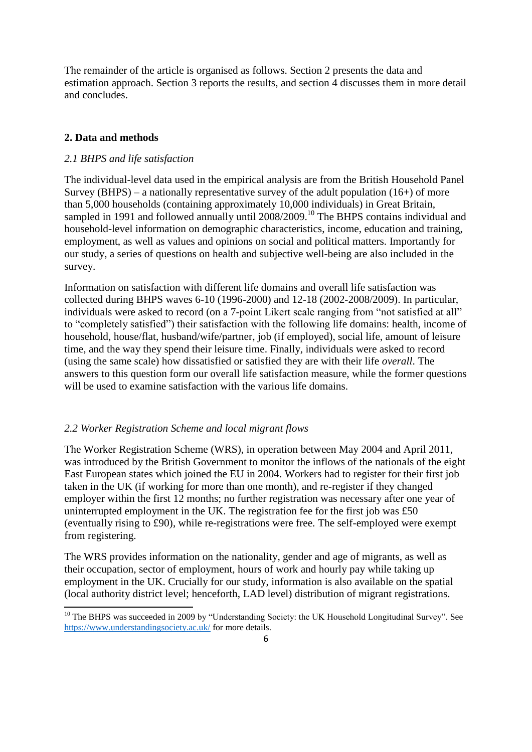The remainder of the article is organised as follows. Section 2 presents the data and estimation approach. Section 3 reports the results, and section 4 discusses them in more detail and concludes.

## **2. Data and methods**

1

## *2.1 BHPS and life satisfaction*

The individual-level data used in the empirical analysis are from the British Household Panel Survey (BHPS) – a nationally representative survey of the adult population  $(16+)$  of more than 5,000 households (containing approximately 10,000 individuals) in Great Britain, sampled in 1991 and followed annually until 2008/2009.<sup>10</sup> The BHPS contains individual and household-level information on demographic characteristics, income, education and training, employment, as well as values and opinions on social and political matters. Importantly for our study, a series of questions on health and subjective well-being are also included in the survey.

Information on satisfaction with different life domains and overall life satisfaction was collected during BHPS waves 6-10 (1996-2000) and 12-18 (2002-2008/2009). In particular, individuals were asked to record (on a 7-point Likert scale ranging from "not satisfied at all" to "completely satisfied") their satisfaction with the following life domains: health, income of household, house/flat, husband/wife/partner, job (if employed), social life, amount of leisure time, and the way they spend their leisure time. Finally, individuals were asked to record (using the same scale) how dissatisfied or satisfied they are with their life *overall*. The answers to this question form our overall life satisfaction measure, while the former questions will be used to examine satisfaction with the various life domains.

## *2.2 Worker Registration Scheme and local migrant flows*

The Worker Registration Scheme (WRS), in operation between May 2004 and April 2011, was introduced by the British Government to monitor the inflows of the nationals of the eight East European states which joined the EU in 2004. Workers had to register for their first job taken in the UK (if working for more than one month), and re-register if they changed employer within the first 12 months; no further registration was necessary after one year of uninterrupted employment in the UK. The registration fee for the first job was £50 (eventually rising to £90), while re-registrations were free. The self-employed were exempt from registering.

The WRS provides information on the nationality, gender and age of migrants, as well as their occupation, sector of employment, hours of work and hourly pay while taking up employment in the UK. Crucially for our study, information is also available on the spatial (local authority district level; henceforth, LAD level) distribution of migrant registrations.

<sup>&</sup>lt;sup>10</sup> The BHPS was succeeded in 2009 by "Understanding Society: the UK Household Longitudinal Survey". See <https://www.understandingsociety.ac.uk/> for more details.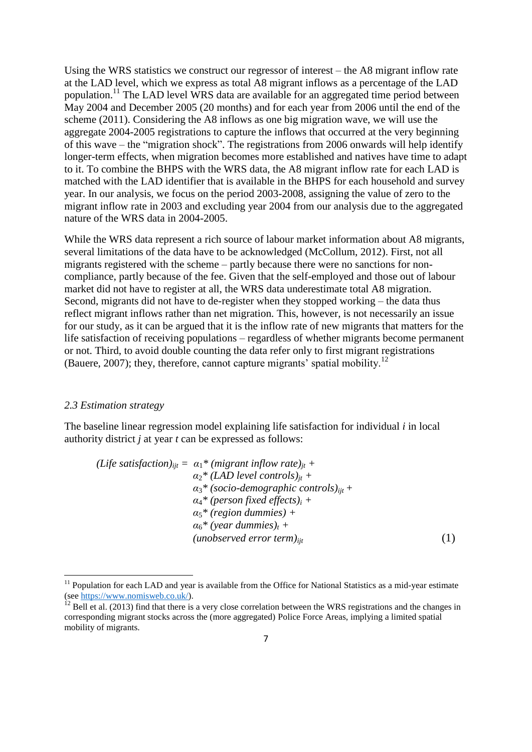Using the WRS statistics we construct our regressor of interest – the A8 migrant inflow rate at the LAD level, which we express as total A8 migrant inflows as a percentage of the LAD population.<sup>11</sup> The LAD level WRS data are available for an aggregated time period between May 2004 and December 2005 (20 months) and for each year from 2006 until the end of the scheme (2011). Considering the A8 inflows as one big migration wave, we will use the aggregate 2004-2005 registrations to capture the inflows that occurred at the very beginning of this wave – the "migration shock". The registrations from 2006 onwards will help identify longer-term effects, when migration becomes more established and natives have time to adapt to it. To combine the BHPS with the WRS data, the A8 migrant inflow rate for each LAD is matched with the LAD identifier that is available in the BHPS for each household and survey year. In our analysis, we focus on the period 2003-2008, assigning the value of zero to the migrant inflow rate in 2003 and excluding year 2004 from our analysis due to the aggregated nature of the WRS data in 2004-2005.

While the WRS data represent a rich source of labour market information about A8 migrants, several limitations of the data have to be acknowledged (McCollum, 2012). First, not all migrants registered with the scheme – partly because there were no sanctions for noncompliance, partly because of the fee. Given that the self-employed and those out of labour market did not have to register at all, the WRS data underestimate total A8 migration. Second, migrants did not have to de-register when they stopped working – the data thus reflect migrant inflows rather than net migration. This, however, is not necessarily an issue for our study, as it can be argued that it is the inflow rate of new migrants that matters for the life satisfaction of receiving populations – regardless of whether migrants become permanent or not. Third, to avoid double counting the data refer only to first migrant registrations (Bauere, 2007); they, therefore, cannot capture migrants' spatial mobility.<sup>12</sup>

#### *2.3 Estimation strategy*

1

The baseline linear regression model explaining life satisfaction for individual *i* in local authority district *j* at year *t* can be expressed as follows:

*(Life satisfaction)* $_{ii} = \alpha_1^*$  *(migrant inflow rate)* $_{it}$  +  $\alpha_2^*$  (*LAD level controls*)<sub>*it*</sub> + *α*3*\* (socio-demographic controls)ijt + α*4*\* (person fixed effects)<sup>i</sup> + α*5*\* (region dummies) +*  $\alpha_6^*$  (year dummies)<sub>t</sub> + *(unobserved error term)ijt* (1)

<sup>&</sup>lt;sup>11</sup> Population for each LAD and year is available from the Office for National Statistics as a mid-year estimate (se[e https://www.nomisweb.co.uk/\)](https://www.nomisweb.co.uk/).

 $12$  Bell et al. (2013) find that there is a very close correlation between the WRS registrations and the changes in corresponding migrant stocks across the (more aggregated) Police Force Areas, implying a limited spatial mobility of migrants.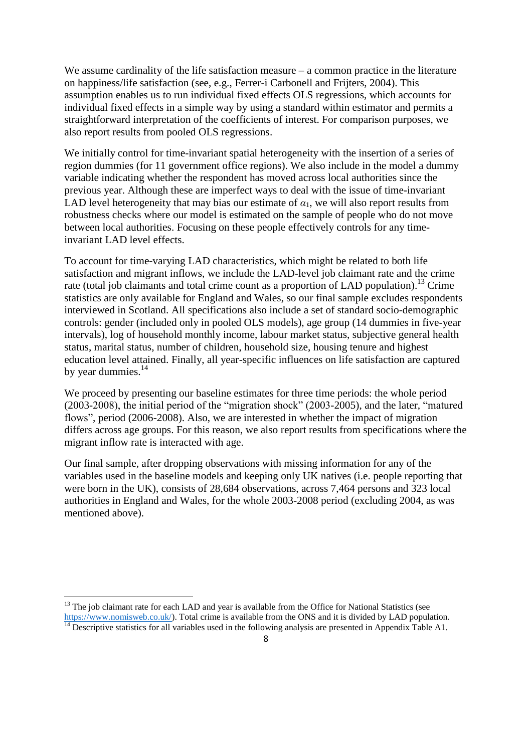We assume cardinality of the life satisfaction measure – a common practice in the literature on happiness/life satisfaction (see, e.g., Ferrer-i Carbonell and Frijters, 2004). This assumption enables us to run individual fixed effects OLS regressions, which accounts for individual fixed effects in a simple way by using a standard within estimator and permits a straightforward interpretation of the coefficients of interest. For comparison purposes, we also report results from pooled OLS regressions.

We initially control for time-invariant spatial heterogeneity with the insertion of a series of region dummies (for 11 government office regions). We also include in the model a dummy variable indicating whether the respondent has moved across local authorities since the previous year. Although these are imperfect ways to deal with the issue of time-invariant LAD level heterogeneity that may bias our estimate of  $\alpha_1$ , we will also report results from robustness checks where our model is estimated on the sample of people who do not move between local authorities. Focusing on these people effectively controls for any timeinvariant LAD level effects.

To account for time-varying LAD characteristics, which might be related to both life satisfaction and migrant inflows, we include the LAD-level job claimant rate and the crime rate (total job claimants and total crime count as a proportion of LAD population).<sup>13</sup> Crime statistics are only available for England and Wales, so our final sample excludes respondents interviewed in Scotland. All specifications also include a set of standard socio-demographic controls: gender (included only in pooled OLS models), age group (14 dummies in five-year intervals), log of household monthly income, labour market status, subjective general health status, marital status, number of children, household size, housing tenure and highest education level attained. Finally, all year-specific influences on life satisfaction are captured by year dummies.<sup>14</sup>

We proceed by presenting our baseline estimates for three time periods: the whole period (2003-2008), the initial period of the "migration shock" (2003-2005), and the later, "matured flows", period (2006-2008). Also, we are interested in whether the impact of migration differs across age groups. For this reason, we also report results from specifications where the migrant inflow rate is interacted with age.

Our final sample, after dropping observations with missing information for any of the variables used in the baseline models and keeping only UK natives (i.e. people reporting that were born in the UK), consists of 28,684 observations, across 7,464 persons and 323 local authorities in England and Wales, for the whole 2003-2008 period (excluding 2004, as was mentioned above).

<sup>13</sup> The job claimant rate for each LAD and year is available from the Office for National Statistics (see [https://www.nomisweb.co.uk/\)](https://www.nomisweb.co.uk/). Total crime is available from the ONS and it is divided by LAD population.  $\frac{14}{14}$  Descriptive statistics for all variables used in the following analysis are presented in Appendix Table A1.

**.**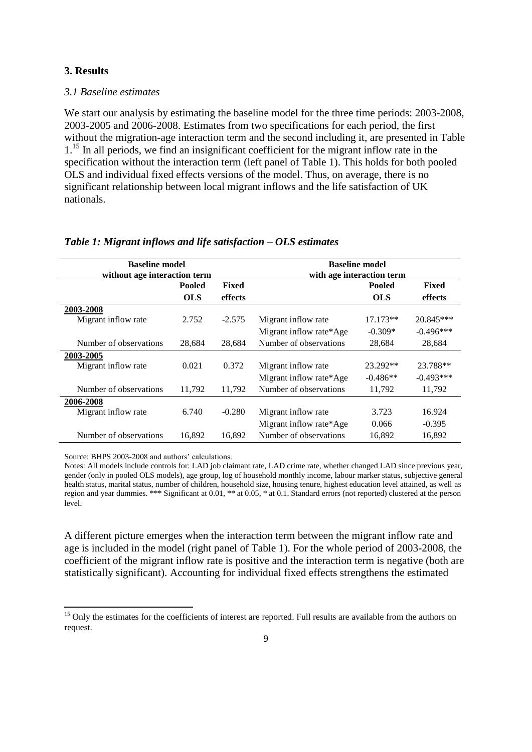## **3. Results**

## *3.1 Baseline estimates*

We start our analysis by estimating the baseline model for the three time periods:  $2003-2008$ , 2003-2005 and 2006-2008. Estimates from two specifications for each period, the first without the migration-age interaction term and the second including it, are presented in Table 1<sup>15</sup> In all periods, we find an insignificant coefficient for the migrant inflow rate in the specification without the interaction term (left panel of Table 1). This holds for both pooled OLS and individual fixed effects versions of the model. Thus, on average, there is no significant relationship between local migrant inflows and the life satisfaction of UK nationals.

| <b>Baseline model</b>        |               |          | <b>Baseline model</b>     |               |             |  |
|------------------------------|---------------|----------|---------------------------|---------------|-------------|--|
| without age interaction term |               |          | with age interaction term |               |             |  |
|                              | <b>Pooled</b> | Fixed    |                           | <b>Pooled</b> | Fixed       |  |
|                              | <b>OLS</b>    | effects  |                           | <b>OLS</b>    | effects     |  |
| 2003-2008                    |               |          |                           |               |             |  |
| Migrant inflow rate          | 2.752         | $-2.575$ | Migrant inflow rate       | $17.173**$    | 20.845***   |  |
|                              |               |          | Migrant inflow rate*Age   | $-0.309*$     | $-0.496***$ |  |
| Number of observations       | 28,684        | 28,684   | Number of observations    | 28,684        | 28,684      |  |
| 2003-2005                    |               |          |                           |               |             |  |
| Migrant inflow rate          | 0.021         | 0.372    | Migrant inflow rate       | 23.292**      | 23.788**    |  |
|                              |               |          | Migrant inflow rate*Age   | $-0.486**$    | $-0.493***$ |  |
| Number of observations       | 11,792        | 11,792   | Number of observations    | 11,792        | 11,792      |  |
| 2006-2008                    |               |          |                           |               |             |  |
| Migrant inflow rate          | 6.740         | $-0.280$ | Migrant inflow rate       | 3.723         | 16.924      |  |
|                              |               |          | Migrant inflow rate*Age   | 0.066         | $-0.395$    |  |
| Number of observations       | 16,892        | 16,892   | Number of observations    | 16,892        | 16,892      |  |

#### *Table 1: Migrant inflows and life satisfaction – OLS estimates*

Source: BHPS 2003-2008 and authors' calculations.

1

Notes: All models include controls for: LAD job claimant rate, LAD crime rate, whether changed LAD since previous year, gender (only in pooled OLS models), age group, log of household monthly income, labour marker status, subjective general health status, marital status, number of children, household size, housing tenure, highest education level attained, as well as region and year dummies. \*\*\* Significant at 0.01, \*\* at 0.05, \* at 0.1. Standard errors (not reported) clustered at the person level.

A different picture emerges when the interaction term between the migrant inflow rate and age is included in the model (right panel of Table 1). For the whole period of 2003-2008, the coefficient of the migrant inflow rate is positive and the interaction term is negative (both are statistically significant). Accounting for individual fixed effects strengthens the estimated

<sup>&</sup>lt;sup>15</sup> Only the estimates for the coefficients of interest are reported. Full results are available from the authors on request.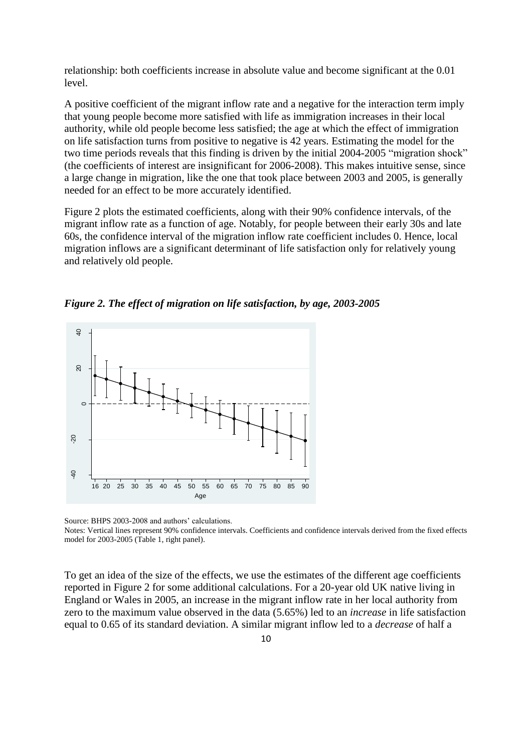relationship: both coefficients increase in absolute value and become significant at the 0.01 level.

A positive coefficient of the migrant inflow rate and a negative for the interaction term imply that young people become more satisfied with life as immigration increases in their local authority, while old people become less satisfied; the age at which the effect of immigration on life satisfaction turns from positive to negative is 42 years. Estimating the model for the two time periods reveals that this finding is driven by the initial 2004-2005 "migration shock" (the coefficients of interest are insignificant for 2006-2008). This makes intuitive sense, since a large change in migration, like the one that took place between 2003 and 2005, is generally needed for an effect to be more accurately identified.

Figure 2 plots the estimated coefficients, along with their 90% confidence intervals, of the migrant inflow rate as a function of age. Notably, for people between their early 30s and late 60s, the confidence interval of the migration inflow rate coefficient includes 0. Hence, local migration inflows are a significant determinant of life satisfaction only for relatively young and relatively old people.

*Figure 2. The effect of migration on life satisfaction, by age, 2003-2005* 



Source: BHPS 2003-2008 and authors' calculations.

Notes: Vertical lines represent 90% confidence intervals. Coefficients and confidence intervals derived from the fixed effects model for 2003-2005 (Table 1, right panel).

To get an idea of the size of the effects, we use the estimates of the different age coefficients reported in Figure 2 for some additional calculations. For a 20-year old UK native living in England or Wales in 2005, an increase in the migrant inflow rate in her local authority from zero to the maximum value observed in the data (5.65%) led to an *increase* in life satisfaction equal to 0.65 of its standard deviation. A similar migrant inflow led to a *decrease* of half a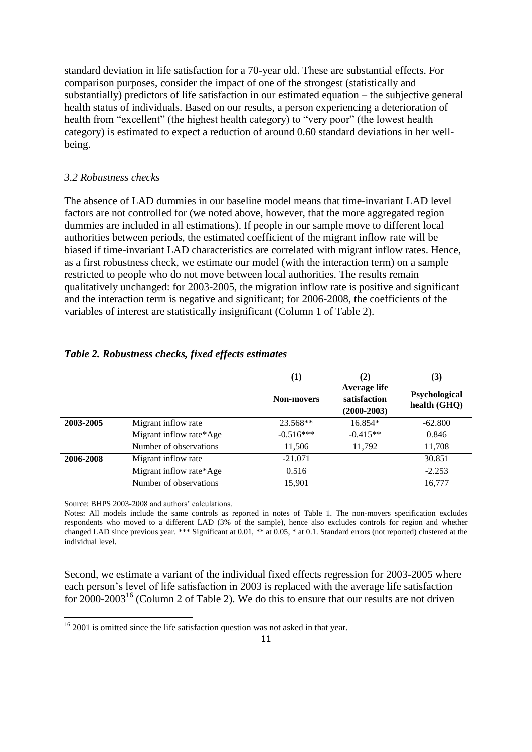standard deviation in life satisfaction for a 70-year old. These are substantial effects. For comparison purposes, consider the impact of one of the strongest (statistically and substantially) predictors of life satisfaction in our estimated equation – the subjective general health status of individuals. Based on our results, a person experiencing a deterioration of health from "excellent" (the highest health category) to "very poor" (the lowest health category) is estimated to expect a reduction of around 0.60 standard deviations in her wellbeing.

#### *3.2 Robustness checks*

The absence of LAD dummies in our baseline model means that time-invariant LAD level factors are not controlled for (we noted above, however, that the more aggregated region dummies are included in all estimations). If people in our sample move to different local authorities between periods, the estimated coefficient of the migrant inflow rate will be biased if time-invariant LAD characteristics are correlated with migrant inflow rates. Hence, as a first robustness check, we estimate our model (with the interaction term) on a sample restricted to people who do not move between local authorities. The results remain qualitatively unchanged: for 2003-2005, the migration inflow rate is positive and significant and the interaction term is negative and significant; for 2006-2008, the coefficients of the variables of interest are statistically insignificant (Column 1 of Table 2).

|           |                         | (1)<br><b>Non-movers</b> | (2)<br>Average life<br>satisfaction<br>$(2000 - 2003)$ | (3)<br>Psychological<br>health (GHQ) |
|-----------|-------------------------|--------------------------|--------------------------------------------------------|--------------------------------------|
| 2003-2005 | Migrant inflow rate     | 23.568**                 | $16.854*$                                              | $-62.800$                            |
|           | Migrant inflow rate*Age | $-0.516***$              | $-0.415**$                                             | 0.846                                |
|           | Number of observations  | 11,506                   | 11.792                                                 | 11,708                               |
| 2006-2008 | Migrant inflow rate     | $-21.071$                |                                                        | 30.851                               |
|           | Migrant inflow rate*Age | 0.516                    |                                                        | $-2.253$                             |
|           | Number of observations  | 15,901                   |                                                        | 16,777                               |

#### *Table 2. Robustness checks, fixed effects estimates*

Source: BHPS 2003-2008 and authors' calculations.

**.** 

Notes: All models include the same controls as reported in notes of Table 1. The non-movers specification excludes respondents who moved to a different LAD (3% of the sample), hence also excludes controls for region and whether changed LAD since previous year. \*\*\* Significant at 0.01, \*\* at 0.05, \* at 0.1. Standard errors (not reported) clustered at the individual level.

Second, we estimate a variant of the individual fixed effects regression for 2003-2005 where each person's level of life satisfaction in 2003 is replaced with the average life satisfaction for  $2000-2003^{16}$  (Column 2 of Table 2). We do this to ensure that our results are not driven

<sup>&</sup>lt;sup>16</sup> 2001 is omitted since the life satisfaction question was not asked in that year.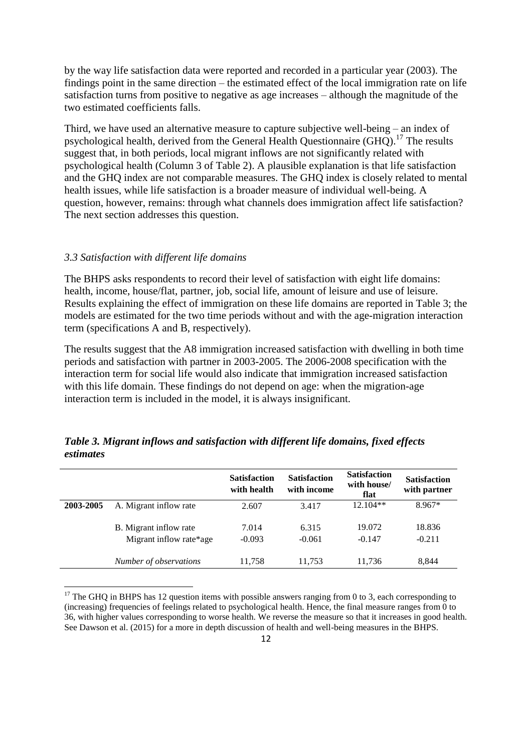by the way life satisfaction data were reported and recorded in a particular year (2003). The findings point in the same direction – the estimated effect of the local immigration rate on life satisfaction turns from positive to negative as age increases – although the magnitude of the two estimated coefficients falls.

Third, we have used an alternative measure to capture subjective well-being – an index of psychological health, derived from the General Health Questionnaire  $(GHO)$ .<sup>17</sup> The results suggest that, in both periods, local migrant inflows are not significantly related with psychological health (Column 3 of Table 2). A plausible explanation is that life satisfaction and the GHQ index are not comparable measures. The GHQ index is closely related to mental health issues, while life satisfaction is a broader measure of individual well-being. A question, however, remains: through what channels does immigration affect life satisfaction? The next section addresses this question.

#### *3.3 Satisfaction with different life domains*

1

The BHPS asks respondents to record their level of satisfaction with eight life domains: health, income, house/flat, partner, job, social life, amount of leisure and use of leisure. Results explaining the effect of immigration on these life domains are reported in Table 3; the models are estimated for the two time periods without and with the age-migration interaction term (specifications A and B, respectively).

The results suggest that the A8 immigration increased satisfaction with dwelling in both time periods and satisfaction with partner in 2003-2005. The 2006-2008 specification with the interaction term for social life would also indicate that immigration increased satisfaction with this life domain. These findings do not depend on age: when the migration-age interaction term is included in the model, it is always insignificant.

|           |                         | <b>Satisfaction</b><br>with health | <b>Satisfaction</b><br>with income | <b>Satisfaction</b><br>with house/<br>flat | <b>Satisfaction</b><br>with partner |
|-----------|-------------------------|------------------------------------|------------------------------------|--------------------------------------------|-------------------------------------|
| 2003-2005 | A. Migrant inflow rate  | 2.607                              | 3.417                              | $12.104**$                                 | $8.967*$                            |
|           | B. Migrant inflow rate  | 7.014                              | 6.315                              | 19.072                                     | 18.836                              |
|           | Migrant inflow rate*age | $-0.093$                           | $-0.061$                           | $-0.147$                                   | $-0.211$                            |
|           | Number of observations  | 11,758                             | 11,753                             | 11,736                                     | 8,844                               |

*Table 3. Migrant inflows and satisfaction with different life domains, fixed effects estimates*

 $17$  The GHQ in BHPS has 12 question items with possible answers ranging from 0 to 3, each corresponding to (increasing) frequencies of feelings related to psychological health. Hence, the final measure ranges from 0 to 36, with higher values corresponding to worse health. We reverse the measure so that it increases in good health. See Dawson et al. (2015) for a more in depth discussion of health and well-being measures in the BHPS.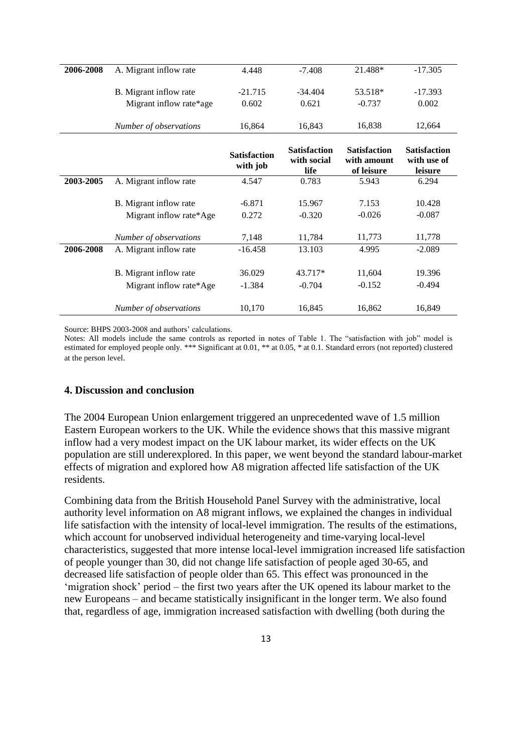|           |                                                   | Satisfaction       | <b>Satisfaction</b> | <b>Satisfaction</b> | <b>Satisfaction</b> |
|-----------|---------------------------------------------------|--------------------|---------------------|---------------------|---------------------|
|           | Number of observations                            | 16.864             | 16.843              | 16.838              | 12,664              |
|           | B. Migrant inflow rate<br>Migrant inflow rate*age | $-21.715$<br>0.602 | $-34.404$<br>0.621  | 53.518*<br>$-0.737$ | $-17.393$<br>0.002  |
|           |                                                   |                    |                     |                     |                     |
| 2006-2008 | A. Migrant inflow rate                            | 4.448              | $-7.408$            | 21.488*             | $-17.305$           |

|           |                         | <b>Satisfaction</b><br>with job | маимасион<br>with social<br>life | маныласын<br>with amount<br>of leisure | wausiacuvii<br>with use of<br>leisure |
|-----------|-------------------------|---------------------------------|----------------------------------|----------------------------------------|---------------------------------------|
| 2003-2005 | A. Migrant inflow rate  | 4.547                           | 0.783                            | 5.943                                  | 6.294                                 |
|           | B. Migrant inflow rate  | $-6.871$                        | 15.967                           | 7.153                                  | 10.428                                |
|           | Migrant inflow rate*Age | 0.272                           | $-0.320$                         | $-0.026$                               | $-0.087$                              |
|           | Number of observations  | 7,148                           | 11,784                           | 11,773                                 | 11,778                                |
| 2006-2008 | A. Migrant inflow rate  | $-16.458$                       | 13.103                           | 4.995                                  | $-2.089$                              |
|           | B. Migrant inflow rate  | 36.029                          | 43.717*                          | 11,604                                 | 19.396                                |
|           | Migrant inflow rate*Age | $-1.384$                        | $-0.704$                         | $-0.152$                               | $-0.494$                              |
|           | Number of observations  | 10,170                          | 16,845                           | 16,862                                 | 16,849                                |

Source: BHPS 2003-2008 and authors' calculations.

Notes: All models include the same controls as reported in notes of Table 1. The "satisfaction with job" model is estimated for employed people only. \*\*\* Significant at 0.01, \*\* at 0.05, \* at 0.1. Standard errors (not reported) clustered at the person level.

#### **4. Discussion and conclusion**

The 2004 European Union enlargement triggered an unprecedented wave of 1.5 million Eastern European workers to the UK. While the evidence shows that this massive migrant inflow had a very modest impact on the UK labour market, its wider effects on the UK population are still underexplored. In this paper, we went beyond the standard labour-market effects of migration and explored how A8 migration affected life satisfaction of the UK residents.

Combining data from the British Household Panel Survey with the administrative, local authority level information on A8 migrant inflows, we explained the changes in individual life satisfaction with the intensity of local-level immigration. The results of the estimations, which account for unobserved individual heterogeneity and time-varying local-level characteristics, suggested that more intense local-level immigration increased life satisfaction of people younger than 30, did not change life satisfaction of people aged 30-65, and decreased life satisfaction of people older than 65. This effect was pronounced in the 'migration shock' period – the first two years after the UK opened its labour market to the new Europeans – and became statistically insignificant in the longer term. We also found that, regardless of age, immigration increased satisfaction with dwelling (both during the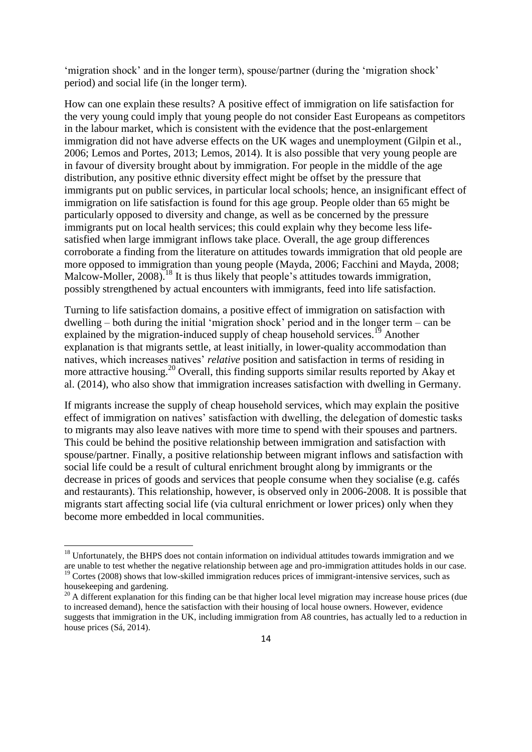'migration shock' and in the longer term), spouse/partner (during the 'migration shock' period) and social life (in the longer term).

How can one explain these results? A positive effect of immigration on life satisfaction for the very young could imply that young people do not consider East Europeans as competitors in the labour market, which is consistent with the evidence that the post-enlargement immigration did not have adverse effects on the UK wages and unemployment (Gilpin et al., 2006; Lemos and Portes, 2013; Lemos, 2014). It is also possible that very young people are in favour of diversity brought about by immigration. For people in the middle of the age distribution, any positive ethnic diversity effect might be offset by the pressure that immigrants put on public services, in particular local schools; hence, an insignificant effect of immigration on life satisfaction is found for this age group. People older than 65 might be particularly opposed to diversity and change, as well as be concerned by the pressure immigrants put on local health services; this could explain why they become less lifesatisfied when large immigrant inflows take place. Overall, the age group differences corroborate a finding from the literature on attitudes towards immigration that old people are more opposed to immigration than young people (Mayda, 2006; Facchini and Mayda, 2008; Malcow-Moller, 2008).<sup>18</sup> It is thus likely that people's attitudes towards immigration, possibly strengthened by actual encounters with immigrants, feed into life satisfaction.

Turning to life satisfaction domains, a positive effect of immigration on satisfaction with dwelling – both during the initial 'migration shock' period and in the longer term – can be explained by the migration-induced supply of cheap household services.<sup>19</sup> Another explanation is that migrants settle, at least initially, in lower-quality accommodation than natives, which increases natives' *relative* position and satisfaction in terms of residing in more attractive housing.<sup>20</sup> Overall, this finding supports similar results reported by Akay et al. (2014), who also show that immigration increases satisfaction with dwelling in Germany.

If migrants increase the supply of cheap household services, which may explain the positive effect of immigration on natives' satisfaction with dwelling, the delegation of domestic tasks to migrants may also leave natives with more time to spend with their spouses and partners. This could be behind the positive relationship between immigration and satisfaction with spouse/partner. Finally, a positive relationship between migrant inflows and satisfaction with social life could be a result of cultural enrichment brought along by immigrants or the decrease in prices of goods and services that people consume when they socialise (e.g. cafés and restaurants). This relationship, however, is observed only in 2006-2008. It is possible that migrants start affecting social life (via cultural enrichment or lower prices) only when they become more embedded in local communities.

 $\overline{\phantom{a}}$ 

 $18$  Unfortunately, the BHPS does not contain information on individual attitudes towards immigration and we are unable to test whether the negative relationship between age and pro-immigration attitudes holds in our case. <sup>19</sup> Cortes (2008) shows that low-skilled immigration reduces prices of immigrant-intensive services, such as housekeeping and gardening.

<sup>&</sup>lt;sup>20</sup> A different explanation for this finding can be that higher local level migration may increase house prices (due to increased demand), hence the satisfaction with their housing of local house owners. However, evidence suggests that immigration in the UK, including immigration from A8 countries, has actually led to a reduction in house prices (Sá, 2014).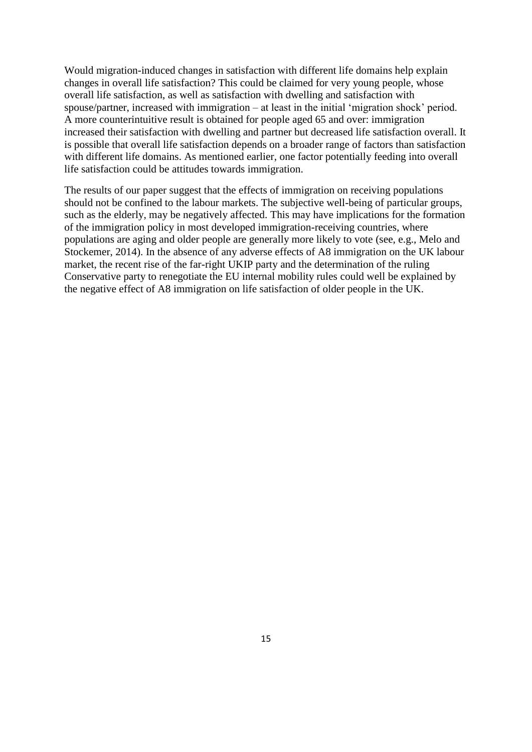Would migration-induced changes in satisfaction with different life domains help explain changes in overall life satisfaction? This could be claimed for very young people, whose overall life satisfaction, as well as satisfaction with dwelling and satisfaction with spouse/partner, increased with immigration – at least in the initial 'migration shock' period. A more counterintuitive result is obtained for people aged 65 and over: immigration increased their satisfaction with dwelling and partner but decreased life satisfaction overall. It is possible that overall life satisfaction depends on a broader range of factors than satisfaction with different life domains. As mentioned earlier, one factor potentially feeding into overall life satisfaction could be attitudes towards immigration.

The results of our paper suggest that the effects of immigration on receiving populations should not be confined to the labour markets. The subjective well-being of particular groups, such as the elderly, may be negatively affected. This may have implications for the formation of the immigration policy in most developed immigration-receiving countries, where populations are aging and older people are generally more likely to vote (see, e.g., Melo and Stockemer, 2014). In the absence of any adverse effects of A8 immigration on the UK labour market, the recent rise of the far-right UKIP party and the determination of the ruling Conservative party to renegotiate the EU internal mobility rules could well be explained by the negative effect of A8 immigration on life satisfaction of older people in the UK.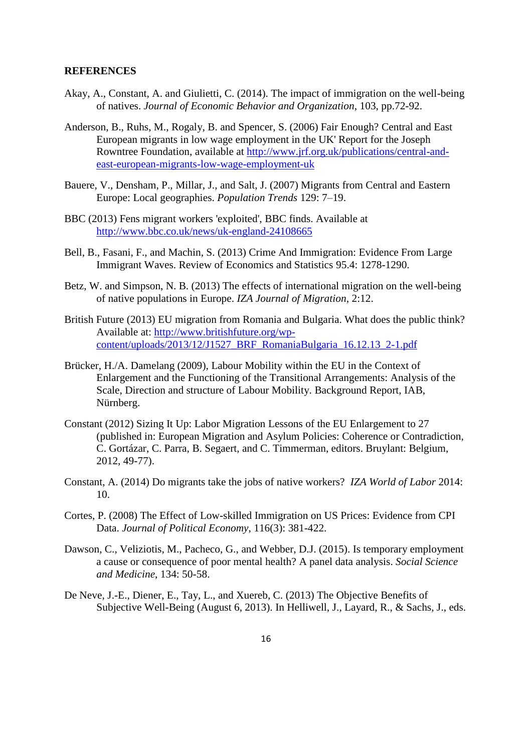#### **REFERENCES**

- Akay, A., Constant, A. and Giulietti, C. (2014). The impact of immigration on the well-being of natives. *Journal of Economic Behavior and Organization*, 103, pp.72-92.
- Anderson, B., Ruhs, M., Rogaly, B. and Spencer, S. (2006) Fair Enough? Central and East European migrants in low wage employment in the UK' Report for the Joseph Rowntree Foundation, available at [http://www.jrf.org.uk/publications/central-and](http://www.jrf.org.uk/publications/central-and-east-european-migrants-low-wage-employment-uk)[east-european-migrants-low-wage-employment-uk](http://www.jrf.org.uk/publications/central-and-east-european-migrants-low-wage-employment-uk)
- Bauere, V., Densham, P., Millar, J., and Salt, J. (2007) Migrants from Central and Eastern Europe: Local geographies. *Population Trends* 129: 7–19.
- BBC (2013) Fens migrant workers 'exploited', BBC finds. Available at <http://www.bbc.co.uk/news/uk-england-24108665>
- Bell, B., Fasani, F., and Machin, S. (2013) Crime And Immigration: Evidence From Large Immigrant Waves. Review of Economics and Statistics 95.4: 1278-1290.
- Betz, W. and Simpson, N. B. (2013) The effects of international migration on the well-being of native populations in Europe. *IZA Journal of Migration,* 2:12.
- British Future (2013) EU migration from Romania and Bulgaria. What does the public think? Available at: [http://www.britishfuture.org/wp](http://www.britishfuture.org/wp-content/uploads/2013/12/J1527_BRF_RomaniaBulgaria_16.12.13_2-1.pdf)[content/uploads/2013/12/J1527\\_BRF\\_RomaniaBulgaria\\_16.12.13\\_2-1.pdf](http://www.britishfuture.org/wp-content/uploads/2013/12/J1527_BRF_RomaniaBulgaria_16.12.13_2-1.pdf)
- Brücker, H./A. Damelang (2009), Labour Mobility within the EU in the Context of Enlargement and the Functioning of the Transitional Arrangements: Analysis of the Scale, Direction and structure of Labour Mobility. Background Report, IAB, Nürnberg.
- Constant (2012) Sizing It Up: Labor Migration Lessons of the EU Enlargement to 27 (published in: European Migration and Asylum Policies: Coherence or Contradiction, C. Gortázar, C. Parra, B. Segaert, and C. Timmerman, editors. Bruylant: Belgium, 2012, 49-77).
- Constant, A. (2014) Do migrants take the jobs of native workers? *IZA World of Labor* 2014: 10.
- Cortes, P. (2008) The Effect of Low-skilled Immigration on US Prices: Evidence from CPI Data. *Journal of Political Economy*, 116(3): 381-422.
- Dawson, C., Veliziotis, M., Pacheco, G., and Webber, D.J. (2015). Is temporary employment a cause or consequence of poor mental health? A panel data analysis. *Social Science and Medicine*, 134: 50-58.
- De Neve, J.-E., Diener, E., Tay, L., and Xuereb, C. (2013) The Objective Benefits of Subjective Well-Being (August 6, 2013). In Helliwell, J., Layard, R., & Sachs, J., eds.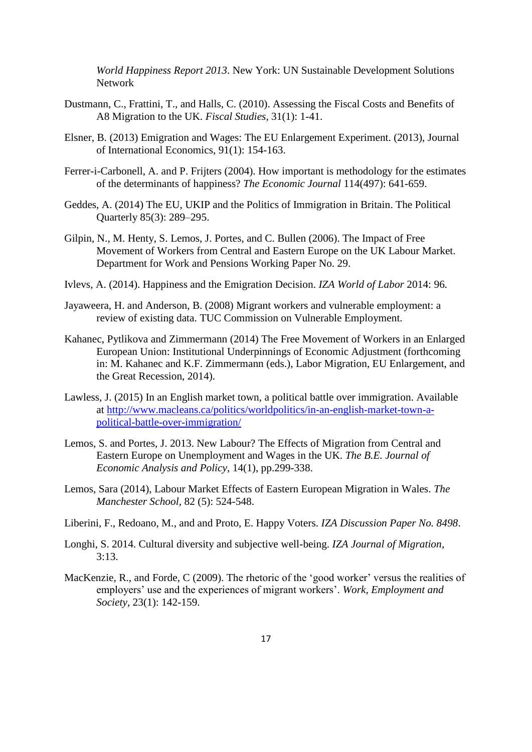*World Happiness Report 2013*. New York: UN Sustainable Development Solutions Network

- Dustmann, C., Frattini, T., and Halls, C. (2010). Assessing the Fiscal Costs and Benefits of A8 Migration to the UK. *Fiscal Studies*, 31(1): 1-41.
- Elsner, B. (2013) Emigration and Wages: The EU Enlargement Experiment. (2013), Journal of International Economics, 91(1): 154-163.
- Ferrer-i-Carbonell, A. and P. Frijters (2004). How important is methodology for the estimates of the determinants of happiness? *The Economic Journal* 114(497): 641-659.
- Geddes, A. (2014) The EU, UKIP and the Politics of Immigration in Britain. The Political Quarterly 85(3): 289–295.
- Gilpin, N., M. Henty, S. Lemos, J. Portes, and C. Bullen (2006). The Impact of Free Movement of Workers from Central and Eastern Europe on the UK Labour Market. Department for Work and Pensions Working Paper No. 29.
- Ivlevs, A. (2014). Happiness and the Emigration Decision. *IZA World of Labor* 2014: 96*.*
- Jayaweera, H. and Anderson, B. (2008) Migrant workers and vulnerable employment: a review of existing data. TUC Commission on Vulnerable Employment.
- Kahanec, Pytlikova and Zimmermann (2014) The Free Movement of Workers in an Enlarged European Union: Institutional Underpinnings of Economic Adjustment (forthcoming in: M. Kahanec and K.F. Zimmermann (eds.), Labor Migration, EU Enlargement, and the Great Recession, 2014).
- Lawless, J. (2015) In an English market town, a political battle over immigration. Available at [http://www.macleans.ca/politics/worldpolitics/in-an-english-market-town-a](http://www.macleans.ca/politics/worldpolitics/in-an-english-market-town-a-political-battle-over-immigration/)[political-battle-over-immigration/](http://www.macleans.ca/politics/worldpolitics/in-an-english-market-town-a-political-battle-over-immigration/)
- Lemos, S. and Portes, J. 2013. New Labour? The Effects of Migration from Central and Eastern Europe on Unemployment and Wages in the UK. *The B.E. Journal of Economic Analysis and Policy*, 14(1), pp.299-338.
- Lemos, Sara (2014), Labour Market Effects of Eastern European Migration in Wales. *The Manchester School*, 82 (5): 524-548.
- Liberini, F., Redoano, M., and and Proto, E. Happy Voters. *IZA Discussion Paper No. 8498*.
- Longhi, S. 2014. Cultural diversity and subjective well-being. *IZA Journal of Migration*, 3:13.
- MacKenzie, R., and Forde, C (2009). The rhetoric of the 'good worker' versus the realities of employers' use and the experiences of migrant workers'. *Work, Employment and Society*, 23(1): 142-159.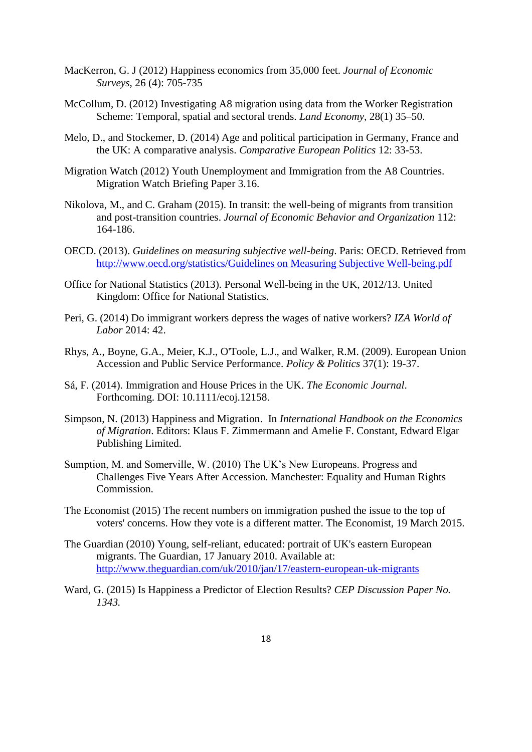- MacKerron, G. J (2012) [Happiness economics from 35,000 feet.](http://sro.sussex.ac.uk/41020/) *Journal of Economic Surveys*, 26 (4): 705-735
- McCollum, D. (2012) Investigating A8 migration using data from the Worker Registration Scheme: Temporal, spatial and sectoral trends. *Land Economy,* 28(1) 35–50.
- Melo, D., and Stockemer, D. (2014) Age and political participation in Germany, France and the UK: A comparative analysis. *Comparative European Politics* 12: 33-53.
- Migration Watch (2012) Youth Unemployment and Immigration from the A8 Countries. Migration Watch Briefing Paper 3.16.
- Nikolova, M., and C. Graham (2015). In transit: the well-being of migrants from transition and post-transition countries. *Journal of Economic Behavior and Organization* 112: 164-186.
- OECD. (2013). *Guidelines on measuring subjective well-being*. Paris: OECD. Retrieved from [http://www.oecd.org/statistics/Guidelines on Measuring Subjective Well-being.pdf](http://www.oecd.org/statistics/Guidelines%20on%20Measuring%20Subjective%20Well-being.pdf)
- Office for National Statistics (2013). Personal Well-being in the UK, 2012/13. United Kingdom: Office for National Statistics.
- Peri, G. (2014) Do immigrant workers depress the wages of native workers? *IZA World of Labor* 2014: 42.
- Rhys, A., Boyne, G.A., Meier, K.J., O'Toole, L.J., and Walker, R.M. (2009). European Union Accession and Public Service Performance. *Policy & Politics* 37(1): 19-37.
- Sá, F. (2014). Immigration and House Prices in the UK. *The Economic Journal*. Forthcoming. DOI: 10.1111/ecoj.12158.
- Simpson, N. (2013) [Happiness and Migration.](http://www.colgate.edu/portaldata/imagegallerywww/21c2da91-dce7-4f08-9879-171e4440e0a4/ImageGallery/Simpson%20happiness%20and%20migration%20draft%20Jan26%202012%20FINAL.docx) In *International Handbook on the Economics of Migration*. Editors: Klaus F. Zimmermann and Amelie F. Constant, Edward Elgar Publishing Limited.
- Sumption, M. and Somerville, W. (2010) The UK's New Europeans. Progress and Challenges Five Years After Accession. Manchester: Equality and Human Rights Commission.
- The Economist (2015) The recent numbers on immigration pushed the issue to the top of voters' concerns. How they vote is a different matter. The Economist, 19 March 2015.
- The Guardian (2010) Young, self-reliant, educated: portrait of UK's eastern European migrants. The Guardian, 17 January 2010. Available at: <http://www.theguardian.com/uk/2010/jan/17/eastern-european-uk-migrants>
- Ward, G. (2015) Is Happiness a Predictor of Election Results? *CEP Discussion Paper No. 1343.*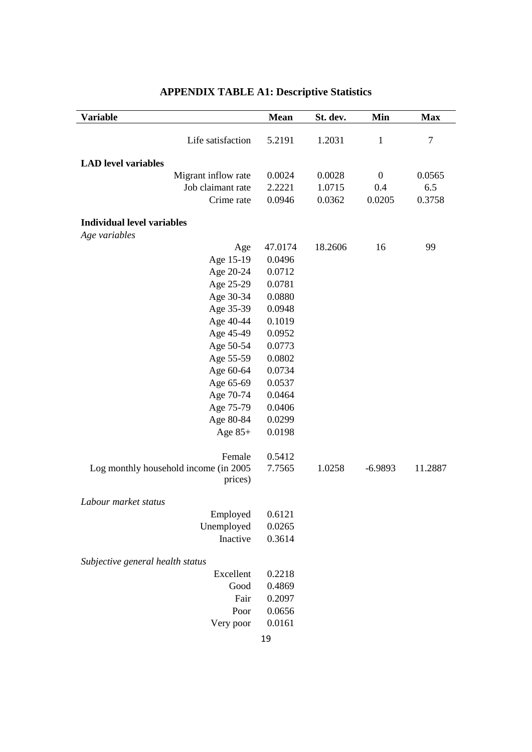| <b>Variable</b>                       | <b>Mean</b> | St. dev. | Min              | <b>Max</b> |
|---------------------------------------|-------------|----------|------------------|------------|
|                                       |             |          |                  |            |
| Life satisfaction                     | 5.2191      | 1.2031   | $\mathbf{1}$     | $\tau$     |
| <b>LAD</b> level variables            |             |          |                  |            |
| Migrant inflow rate                   | 0.0024      | 0.0028   | $\boldsymbol{0}$ | 0.0565     |
| Job claimant rate                     | 2.2221      | 1.0715   | 0.4              | 6.5        |
| Crime rate                            | 0.0946      | 0.0362   | 0.0205           | 0.3758     |
|                                       |             |          |                  |            |
| <b>Individual level variables</b>     |             |          |                  |            |
| Age variables                         |             |          |                  |            |
| Age                                   | 47.0174     | 18.2606  | 16               | 99         |
| Age 15-19                             | 0.0496      |          |                  |            |
| Age 20-24                             | 0.0712      |          |                  |            |
| Age 25-29                             | 0.0781      |          |                  |            |
| Age 30-34                             | 0.0880      |          |                  |            |
| Age 35-39                             | 0.0948      |          |                  |            |
| Age 40-44                             | 0.1019      |          |                  |            |
| Age 45-49                             | 0.0952      |          |                  |            |
| Age 50-54                             | 0.0773      |          |                  |            |
| Age 55-59                             | 0.0802      |          |                  |            |
| Age 60-64                             | 0.0734      |          |                  |            |
| Age 65-69                             | 0.0537      |          |                  |            |
| Age 70-74                             | 0.0464      |          |                  |            |
| Age 75-79                             | 0.0406      |          |                  |            |
| Age 80-84                             | 0.0299      |          |                  |            |
| Age $85+$                             | 0.0198      |          |                  |            |
| Female                                | 0.5412      |          |                  |            |
| Log monthly household income (in 2005 | 7.7565      | 1.0258   | $-6.9893$        | 11.2887    |
| prices)                               |             |          |                  |            |
| Labour market status                  |             |          |                  |            |
| Employed                              | 0.6121      |          |                  |            |
| Unemployed                            | 0.0265      |          |                  |            |
| Inactive                              | 0.3614      |          |                  |            |
|                                       |             |          |                  |            |
| Subjective general health status      |             |          |                  |            |
| Excellent                             | 0.2218      |          |                  |            |
| Good                                  | 0.4869      |          |                  |            |
| Fair                                  | 0.2097      |          |                  |            |
| Poor                                  | 0.0656      |          |                  |            |
| Very poor                             | 0.0161      |          |                  |            |
|                                       | 19          |          |                  |            |

# **APPENDIX TABLE A1: Descriptive Statistics**